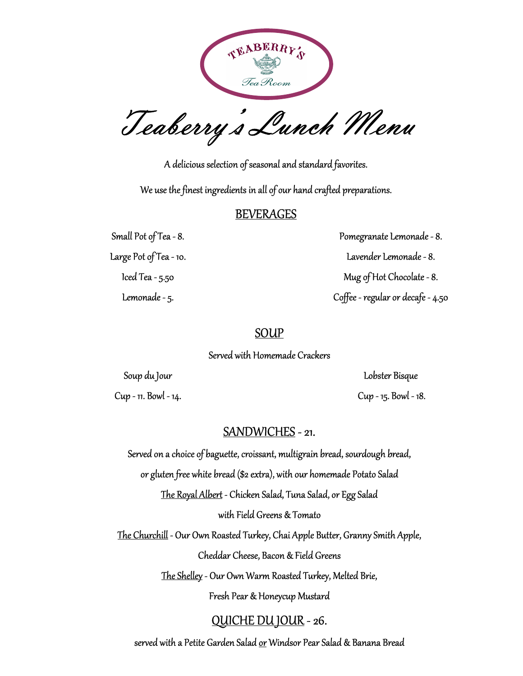

Teaberry's Lunch Menu

A delicious selection of seasonal and standard favorites.

We use the finest ingredients in all of our hand crafted preparations.

### BEVERAGES

Small Pot of Tea - 8.

Large Pot of Tea - 10.

Iced Tea - 5.50

Lemonade - 5.

Pomegranate Lemonade - 8. Lavender Lemonade - 8. Mug of Hot Chocolate - 8. Coffee - regular or decafe - 4.50

## **SOUP**

Served with Homemade Crackers

Soup du Jour

Cup - 11. Bowl - 14.

Lobster Bisque Cup - 15. Bowl - 18.

# SANDWICHES - 21.

Served on a choice of baguette, croissant, multigrain bread, sourdough bread,

or gluten free white bread (\$2 extra), with our homemade Potato Salad

The Royal Albert - Chicken Salad, Tuna Salad, or Egg Salad

with Field Greens & Tomato

The Churchill - Our Own Roasted Turkey, Chai Apple Butter, Granny Smith Apple, Cheddar Cheese, Bacon & Field Greens

The Shelley - Our Own Warm Roasted Turkey, Melted Brie,

Fresh Pear & Honeycup Mustard

# QUICHE DU JOUR - 26.

served with a Petite Garden Salad <u>or</u> Windsor Pear Salad & Banana Bread